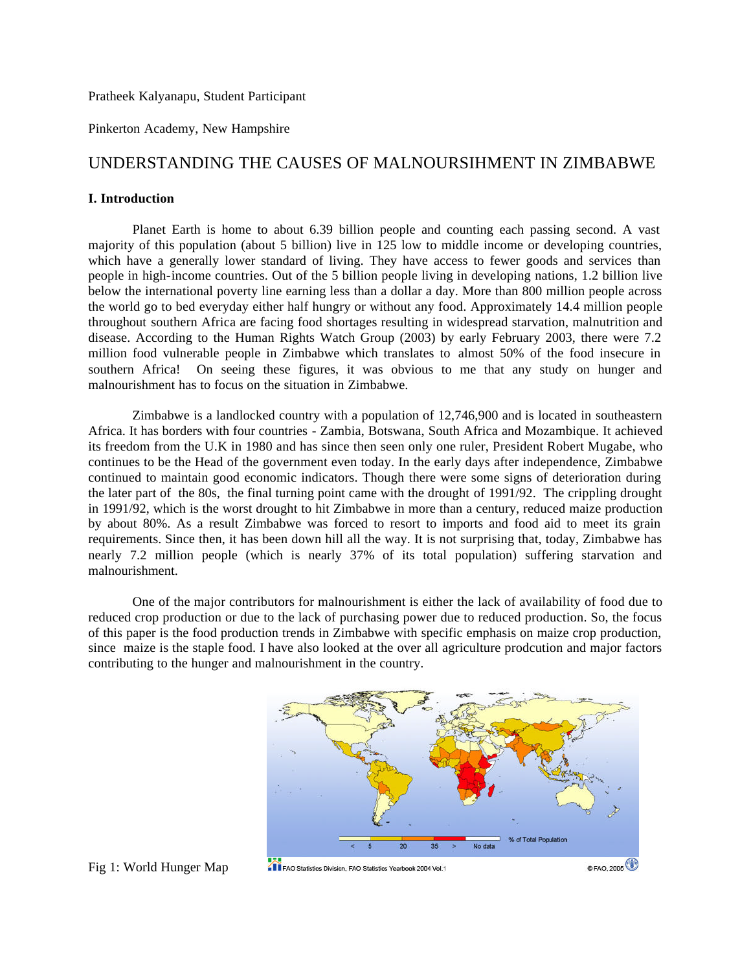Pratheek Kalyanapu, Student Participant

Pinkerton Academy, New Hampshire

# UNDERSTANDING THE CAUSES OF MALNOURSIHMENT IN ZIMBABWE

# **I. Introduction**

Planet Earth is home to about 6.39 billion people and counting each passing second. A vast majority of this population (about 5 billion) live in 125 low to middle income or developing countries, which have a generally lower standard of living. They have access to fewer goods and services than people in high-income countries. Out of the 5 billion people living in developing nations, 1.2 billion live below the international poverty line earning less than a dollar a day. More than 800 million people across the world go to bed everyday either half hungry or without any food. Approximately 14.4 million people throughout southern Africa are facing food shortages resulting in widespread starvation, malnutrition and disease. According to the Human Rights Watch Group (2003) by early February 2003, there were 7.2 million food vulnerable people in Zimbabwe which translates to almost 50% of the food insecure in southern Africa! On seeing these figures, it was obvious to me that any study on hunger and malnourishment has to focus on the situation in Zimbabwe.

Zimbabwe is a landlocked country with a population of 12,746,900 and is located in southeastern Africa. It has borders with four countries - Zambia, Botswana, South Africa and Mozambique. It achieved its freedom from the U.K in 1980 and has since then seen only one ruler, President Robert Mugabe, who continues to be the Head of the government even today. In the early days after independence, Zimbabwe continued to maintain good economic indicators. Though there were some signs of deterioration during the later part of the 80s, the final turning point came with the drought of 1991/92. The crippling drought in 1991/92, which is the worst drought to hit Zimbabwe in more than a century, reduced maize production by about 80%. As a result Zimbabwe was forced to resort to imports and food aid to meet its grain requirements. Since then, it has been down hill all the way. It is not surprising that, today, Zimbabwe has nearly 7.2 million people (which is nearly 37% of its total population) suffering starvation and malnourishment.

One of the major contributors for malnourishment is either the lack of availability of food due to reduced crop production or due to the lack of purchasing power due to reduced production. So, the focus of this paper is the food production trends in Zimbabwe with specific emphasis on maize crop production, since maize is the staple food. I have also looked at the over all agriculture prodcution and major factors contributing to the hunger and malnourishment in the country.



Fig 1: World Hunger Map

FAO Statistics Division, FAO Statistics Yearbook 2004 Vol.1

 $\circ$  FAO, 2005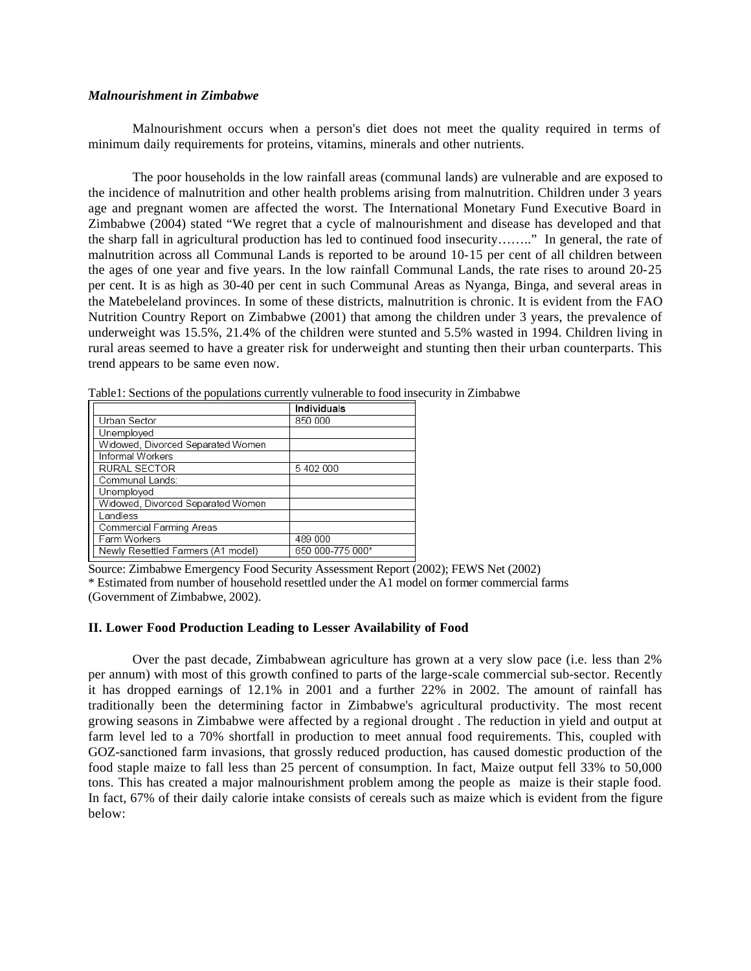### *Malnourishment in Zimbabwe*

Malnourishment occurs when a person's diet does not meet the quality required in terms of minimum daily requirements for proteins, vitamins, minerals and other nutrients.

The poor households in the low rainfall areas (communal lands) are vulnerable and are exposed to the incidence of malnutrition and other health problems arising from malnutrition. Children under 3 years age and pregnant women are affected the worst. The International Monetary Fund Executive Board in Zimbabwe (2004) stated "We regret that a cycle of malnourishment and disease has developed and that the sharp fall in agricultural production has led to continued food insecurity…….." In general, the rate of malnutrition across all Communal Lands is reported to be around 10-15 per cent of all children between the ages of one year and five years. In the low rainfall Communal Lands, the rate rises to around 20-25 per cent. It is as high as 30-40 per cent in such Communal Areas as Nyanga, Binga, and several areas in the Matebeleland provinces. In some of these districts, malnutrition is chronic. It is evident from the FAO Nutrition Country Report on Zimbabwe (2001) that among the children under 3 years, the prevalence of underweight was 15.5%, 21.4% of the children were stunted and 5.5% wasted in 1994. Children living in rural areas seemed to have a greater risk for underweight and stunting then their urban counterparts. This trend appears to be same even now.

|                                    | <b>Individuals</b> |
|------------------------------------|--------------------|
| Urban Sector                       | 850 000            |
| Unemployed                         |                    |
| Widowed, Divorced Separated Women  |                    |
| <b>Informal Workers</b>            |                    |
| RURAL SECTOR                       | 5 402 000          |
| Communal Lands:                    |                    |
| Unemployed                         |                    |
| Widowed, Divorced Separated Women  |                    |
| Landless                           |                    |
| Commercial Farming Areas           |                    |
| Farm Workers                       | 489 000            |
| Newly Resettled Farmers (A1 model) | 650 000-775 000*   |
|                                    |                    |

Table1: Sections of the populations currently vulnerable to food insecurity in Zimbabwe

Source: Zimbabwe Emergency Food Security Assessment Report (2002); FEWS Net (2002) \* Estimated from number of household resettled under the A1 model on former commercial farms (Government of Zimbabwe, 2002).

### **II. Lower Food Production Leading to Lesser Availability of Food**

Over the past decade, Zimbabwean agriculture has grown at a very slow pace (i.e. less than 2% per annum) with most of this growth confined to parts of the large-scale commercial sub-sector. Recently it has dropped earnings of 12.1% in 2001 and a further 22% in 2002. The amount of rainfall has traditionally been the determining factor in Zimbabwe's agricultural productivity. The most recent growing seasons in Zimbabwe were affected by a regional drought . The reduction in yield and output at farm level led to a 70% shortfall in production to meet annual food requirements. This, coupled with GOZ-sanctioned farm invasions, that grossly reduced production, has caused domestic production of the food staple maize to fall less than 25 percent of consumption. In fact, Maize output fell 33% to 50,000 tons. This has created a major malnourishment problem among the people as maize is their staple food. In fact, 67% of their daily calorie intake consists of cereals such as maize which is evident from the figure below: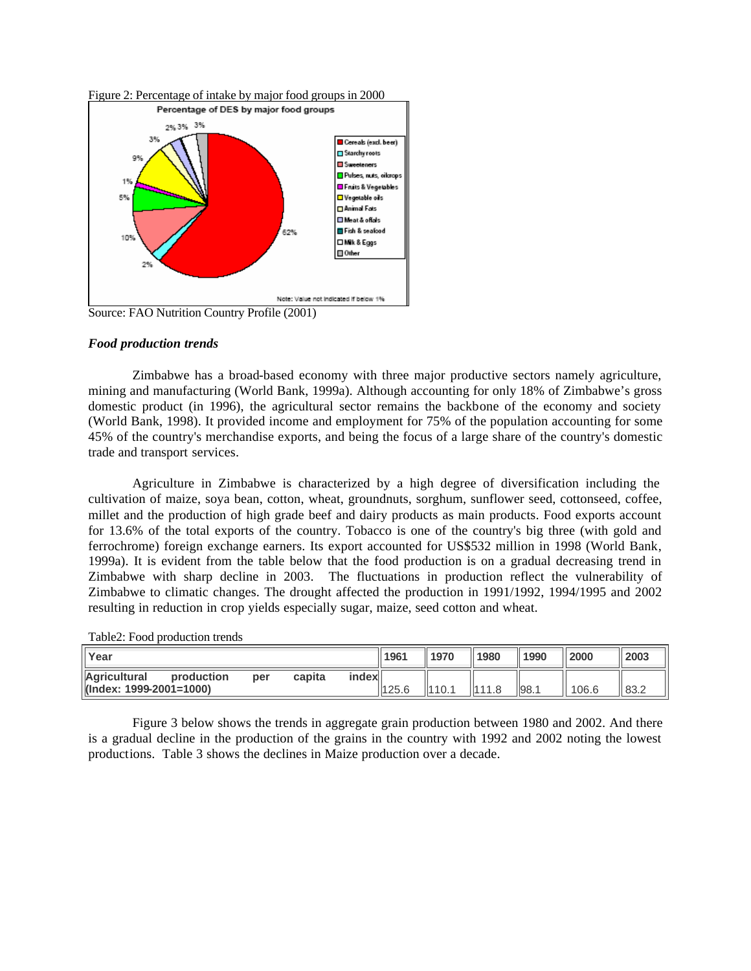

Source: FAO Nutrition Country Profile (2001)

### *Food production trends*

Zimbabwe has a broad-based economy with three major productive sectors namely agriculture, mining and manufacturing (World Bank, 1999a). Although accounting for only 18% of Zimbabwe's gross domestic product (in 1996), the agricultural sector remains the backbone of the economy and society (World Bank, 1998). It provided income and employment for 75% of the population accounting for some 45% of the country's merchandise exports, and being the focus of a large share of the country's domestic trade and transport services.

Agriculture in Zimbabwe is characterized by a high degree of diversification including the cultivation of maize, soya bean, cotton, wheat, groundnuts, sorghum, sunflower seed, cottonseed, coffee, millet and the production of high grade beef and dairy products as main products. Food exports account for 13.6% of the total exports of the country. Tobacco is one of the country's big three (with gold and ferrochrome) foreign exchange earners. Its export accounted for US\$532 million in 1998 (World Bank, 1999a). It is evident from the table below that the food production is on a gradual decreasing trend in Zimbabwe with sharp decline in 2003. The fluctuations in production reflect the vulnerability of Zimbabwe to climatic changes. The drought affected the production in 1991/1992, 1994/1995 and 2002 resulting in reduction in crop yields especially sugar, maize, seed cotton and wheat.

| Year                                    |            |     |        | 1196 <sup>4</sup> | ll 1970 | 1980   | 1990   | 2000 | 2003  |      |
|-----------------------------------------|------------|-----|--------|-------------------|---------|--------|--------|------|-------|------|
| Agricultural<br>(Index: 1999-2001=1000) | production | per | capita | index             | 125.6   | 1110.1 | 1111.8 | 98.1 | 106.6 | 83.2 |

Figure 3 below shows the trends in aggregate grain production between 1980 and 2002. And there is a gradual decline in the production of the grains in the country with 1992 and 2002 noting the lowest productions. Table 3 shows the declines in Maize production over a decade.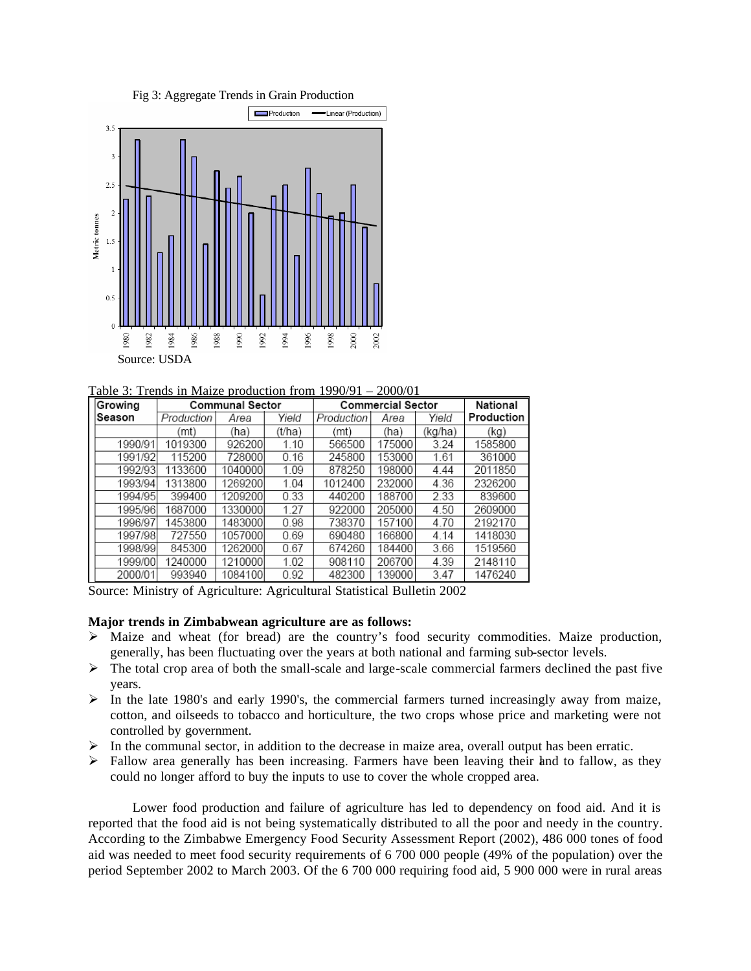



Table 3: Trends in Maize production from 1990/91 – 2000/01

| Growing |            | <b>Communal Sector</b> |        | <b>Commercial Sector</b> | National |         |            |
|---------|------------|------------------------|--------|--------------------------|----------|---------|------------|
| ∣Season | Production | Area                   | Yield  | Production               | Area     | Yield   | Production |
|         | (mt)       | (ha)                   | (t/ha) | (mt)                     | (ha)     | (kg/ha) | (kg)       |
| 1990/91 | 1019300    | 926200                 | 1.10   | 566500                   | 175000   | 3.24    | 1585800    |
| 1991/92 | 115200     | 728000                 | 0.16   | 245800                   | 153000   | 1.61    | 361000     |
| 1992/93 | 1133600    | 1040000                | 1.09   | 878250                   | 198000   | 4.44    | 2011850    |
| 1993/94 | 1313800    | 1269200                | 1.04   | 1012400                  | 232000   | 4.36    | 2326200    |
| 1994/95 | 399400     | 1209200                | 0.33   | 440200                   | 188700   | 2.33    | 839600     |
| 1995/96 | 1687000    | 1330000                | 1.27   | 922000                   | 205000   | 4.50    | 2609000    |
| 1996/97 | 1453800    | 1483000                | 0.98   | 738370                   | 157100   | 4.70    | 2192170    |
| 1997/98 | 727550     | 1057000                | 0.69   | 690480                   | 166800   | 4.14    | 1418030    |
| 1998/99 | 845300     | 1262000                | 0.67   | 674260                   | 184400   | 3.66    | 1519560    |
| 1999/00 | 1240000    | 1210000                | 1.02   | 908110                   | 206700   | 4.39    | 2148110    |
| 2000/01 | 993940     | 1084100                | 0.92   | 482300                   | 139000   | 3.47    | 1476240    |

Source: Ministry of Agriculture: Agricultural Statistical Bulletin 2002

#### **Major trends in Zimbabwean agriculture are as follows:**

- ÿ Maize and wheat (for bread) are the country's food security commodities. Maize production, generally, has been fluctuating over the years at both national and farming sub-sector levels.
- $\triangleright$  The total crop area of both the small-scale and large-scale commercial farmers declined the past five years.
- $\triangleright$  In the late 1980's and early 1990's, the commercial farmers turned increasingly away from maize, cotton, and oilseeds to tobacco and horticulture, the two crops whose price and marketing were not controlled by government.
- $\triangleright$  In the communal sector, in addition to the decrease in maize area, overall output has been erratic.
- $\triangleright$  Fallow area generally has been increasing. Farmers have been leaving their land to fallow, as they could no longer afford to buy the inputs to use to cover the whole cropped area.

Lower food production and failure of agriculture has led to dependency on food aid. And it is reported that the food aid is not being systematically distributed to all the poor and needy in the country. According to the Zimbabwe Emergency Food Security Assessment Report (2002), 486 000 tones of food aid was needed to meet food security requirements of 6 700 000 people (49% of the population) over the period September 2002 to March 2003. Of the 6 700 000 requiring food aid, 5 900 000 were in rural areas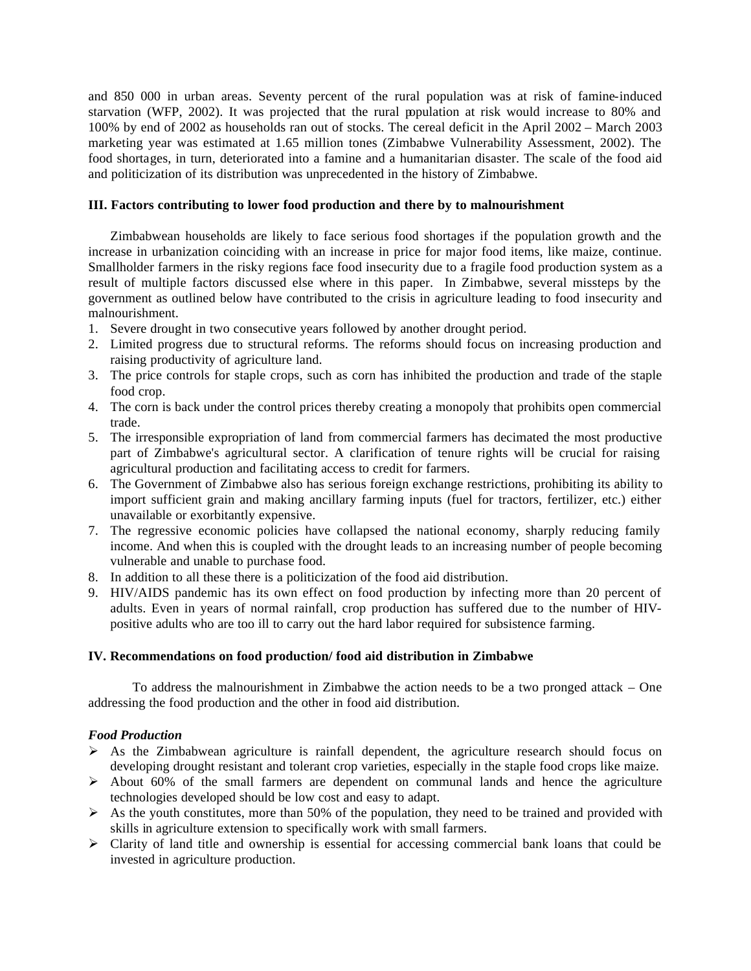and 850 000 in urban areas. Seventy percent of the rural population was at risk of famine-induced starvation (WFP, 2002). It was projected that the rural population at risk would increase to 80% and 100% by end of 2002 as households ran out of stocks. The cereal deficit in the April 2002 – March 2003 marketing year was estimated at 1.65 million tones (Zimbabwe Vulnerability Assessment, 2002). The food shortages, in turn, deteriorated into a famine and a humanitarian disaster. The scale of the food aid and politicization of its distribution was unprecedented in the history of Zimbabwe.

### **III. Factors contributing to lower food production and there by to malnourishment**

Zimbabwean households are likely to face serious food shortages if the population growth and the increase in urbanization coinciding with an increase in price for major food items, like maize, continue. Smallholder farmers in the risky regions face food insecurity due to a fragile food production system as a result of multiple factors discussed else where in this paper. In Zimbabwe, several missteps by the government as outlined below have contributed to the crisis in agriculture leading to food insecurity and malnourishment.

- 1. Severe drought in two consecutive years followed by another drought period.
- 2. Limited progress due to structural reforms. The reforms should focus on increasing production and raising productivity of agriculture land.
- 3. The price controls for staple crops, such as corn has inhibited the production and trade of the staple food crop.
- 4. The corn is back under the control prices thereby creating a monopoly that prohibits open commercial trade.
- 5. The irresponsible expropriation of land from commercial farmers has decimated the most productive part of Zimbabwe's agricultural sector. A clarification of tenure rights will be crucial for raising agricultural production and facilitating access to credit for farmers.
- 6. The Government of Zimbabwe also has serious foreign exchange restrictions, prohibiting its ability to import sufficient grain and making ancillary farming inputs (fuel for tractors, fertilizer, etc.) either unavailable or exorbitantly expensive.
- 7. The regressive economic policies have collapsed the national economy, sharply reducing family income. And when this is coupled with the drought leads to an increasing number of people becoming vulnerable and unable to purchase food.
- 8. In addition to all these there is a politicization of the food aid distribution.
- 9. HIV/AIDS pandemic has its own effect on food production by infecting more than 20 percent of adults. Even in years of normal rainfall, crop production has suffered due to the number of HIVpositive adults who are too ill to carry out the hard labor required for subsistence farming.

### **IV. Recommendations on food production/ food aid distribution in Zimbabwe**

To address the malnourishment in Zimbabwe the action needs to be a two pronged attack – One addressing the food production and the other in food aid distribution.

# *Food Production*

- $\triangleright$  As the Zimbabwean agriculture is rainfall dependent, the agriculture research should focus on developing drought resistant and tolerant crop varieties, especially in the staple food crops like maize.
- $\triangleright$  About 60% of the small farmers are dependent on communal lands and hence the agriculture technologies developed should be low cost and easy to adapt.
- $\triangleright$  As the youth constitutes, more than 50% of the population, they need to be trained and provided with skills in agriculture extension to specifically work with small farmers.
- $\triangleright$  Clarity of land title and ownership is essential for accessing commercial bank loans that could be invested in agriculture production.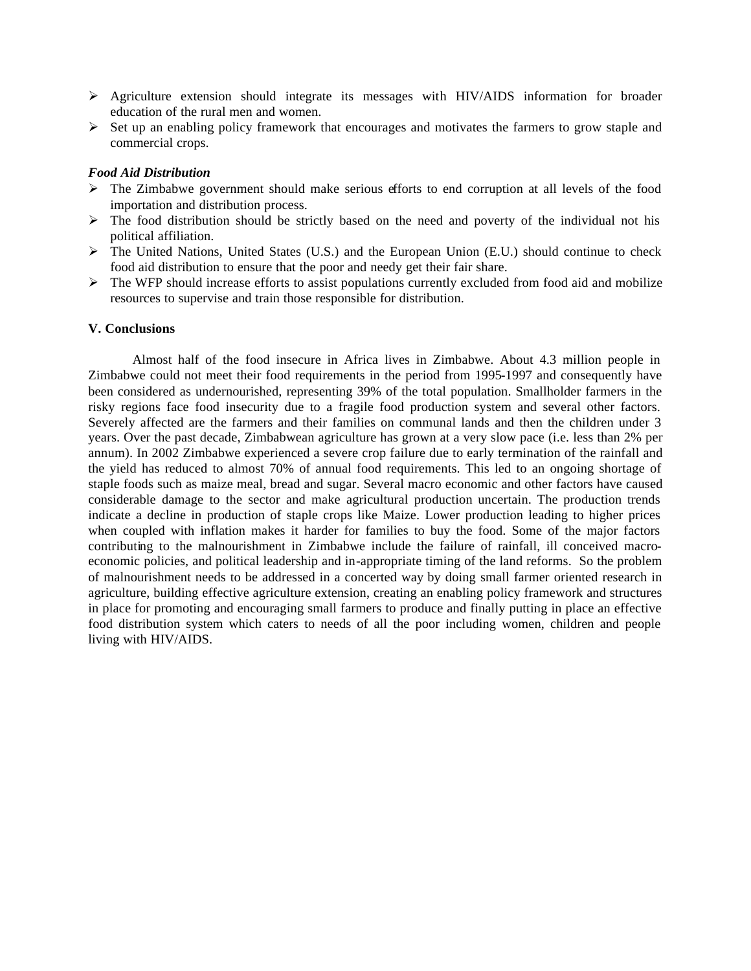- ÿ Agriculture extension should integrate its messages with HIV/AIDS information for broader education of the rural men and women.
- $\triangleright$  Set up an enabling policy framework that encourages and motivates the farmers to grow staple and commercial crops.

### *Food Aid Distribution*

- ÿ The Zimbabwe government should make serious efforts to end corruption at all levels of the food importation and distribution process.
- $\triangleright$  The food distribution should be strictly based on the need and poverty of the individual not his political affiliation.
- $\triangleright$  The United Nations, United States (U.S.) and the European Union (E.U.) should continue to check food aid distribution to ensure that the poor and needy get their fair share.
- $\triangleright$  The WFP should increase efforts to assist populations currently excluded from food aid and mobilize resources to supervise and train those responsible for distribution.

#### **V. Conclusions**

Almost half of the food insecure in Africa lives in Zimbabwe. About 4.3 million people in Zimbabwe could not meet their food requirements in the period from 1995-1997 and consequently have been considered as undernourished, representing 39% of the total population. Smallholder farmers in the risky regions face food insecurity due to a fragile food production system and several other factors. Severely affected are the farmers and their families on communal lands and then the children under 3 years. Over the past decade, Zimbabwean agriculture has grown at a very slow pace (i.e. less than 2% per annum). In 2002 Zimbabwe experienced a severe crop failure due to early termination of the rainfall and the yield has reduced to almost 70% of annual food requirements. This led to an ongoing shortage of staple foods such as maize meal, bread and sugar. Several macro economic and other factors have caused considerable damage to the sector and make agricultural production uncertain. The production trends indicate a decline in production of staple crops like Maize. Lower production leading to higher prices when coupled with inflation makes it harder for families to buy the food. Some of the major factors contributing to the malnourishment in Zimbabwe include the failure of rainfall, ill conceived macroeconomic policies, and political leadership and in-appropriate timing of the land reforms. So the problem of malnourishment needs to be addressed in a concerted way by doing small farmer oriented research in agriculture, building effective agriculture extension, creating an enabling policy framework and structures in place for promoting and encouraging small farmers to produce and finally putting in place an effective food distribution system which caters to needs of all the poor including women, children and people living with HIV/AIDS.